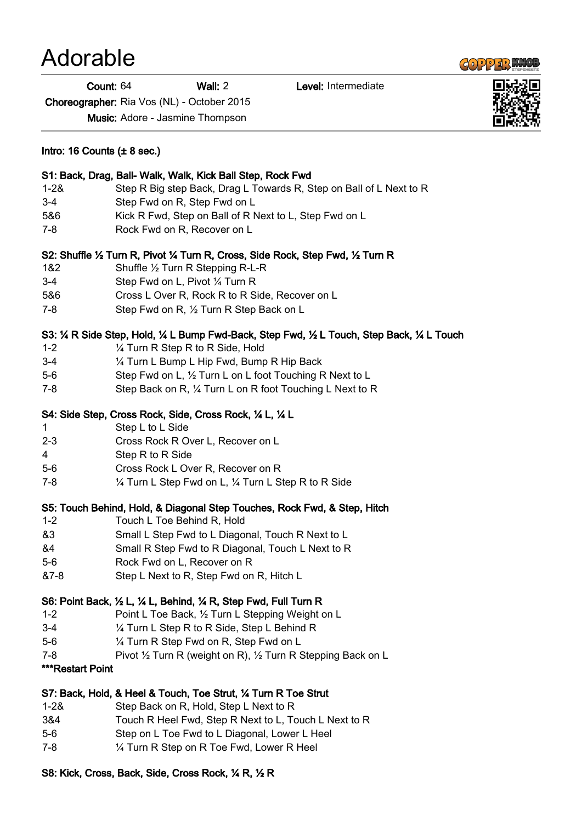#### Count: 64 Wall: 2 Level: Intermediate

Choreographer: Ria Vos (NL) - October 2015

Music: Adore - Jasmine Thompson

| Intro: 16 Counts $(\pm 8 \text{ sec.})$                    |                                                                                               |
|------------------------------------------------------------|-----------------------------------------------------------------------------------------------|
| S1: Back, Drag, Ball- Walk, Walk, Kick Ball Step, Rock Fwd |                                                                                               |
| $1 - 28$                                                   | Step R Big step Back, Drag L Towards R, Step on Ball of L Next to R                           |
| $3 - 4$                                                    | Step Fwd on R, Step Fwd on L                                                                  |
| 5&6                                                        | Kick R Fwd, Step on Ball of R Next to L, Step Fwd on L                                        |
| 7-8                                                        | Rock Fwd on R, Recover on L                                                                   |
|                                                            | S2: Shuffle 1/2 Turn R, Pivot 1/4 Turn R, Cross, Side Rock, Step Fwd, 1/2 Turn R              |
| 1&2                                                        | Shuffle $\frac{1}{2}$ Turn R Stepping R-L-R                                                   |
| $3-4$                                                      | Step Fwd on L, Pivot 1/4 Turn R                                                               |
| 5&6                                                        | Cross L Over R, Rock R to R Side, Recover on L                                                |
| $7 - 8$                                                    | Step Fwd on R, 1/2 Turn R Step Back on L                                                      |
|                                                            | S3: 1/4 R Side Step, Hold, 1/4 L Bump Fwd-Back, Step Fwd, 1/2 L Touch, Step Back, 1/4 L Touch |
| $1 - 2$                                                    | 1/4 Turn R Step R to R Side, Hold                                                             |
| $3 - 4$                                                    | 1/4 Turn L Bump L Hip Fwd, Bump R Hip Back                                                    |
| $5-6$                                                      | Step Fwd on L, 1/2 Turn L on L foot Touching R Next to L                                      |
| $7 - 8$                                                    | Step Back on R, 1/4 Turn L on R foot Touching L Next to R                                     |
|                                                            | S4: Side Step, Cross Rock, Side, Cross Rock, 1/4 L, 1/4 L                                     |
| $\mathbf 1$                                                | Step L to L Side                                                                              |
| $2 - 3$                                                    | Cross Rock R Over L, Recover on L                                                             |
| $\overline{4}$                                             | Step R to R Side                                                                              |
| $5-6$                                                      | Cross Rock L Over R, Recover on R                                                             |
| 7-8                                                        | 1/4 Turn L Step Fwd on L, 1/4 Turn L Step R to R Side                                         |

- S2: Shuffle 1/2 Turn R, Pivot 1/4 Turn R, Cross, Si
- 1&2 Shuffle 1/2 Turn R Stepping R-L-
- 3-4 Step Fwd on L, Pivot ¼ Turn R

- 5&6 Cross L Over R, Rock R to R Si
- 7-8 Step Fwd on R,  $\frac{1}{2}$  Turn R Step

#### S3: 1/4 R Side Step, Hold, 1/4 L Bump Fwd-Back,

- 1-2  $\frac{1}{4}$  Turn R Step R to R Side, Hold
- 3-4 <sup>1</sup>/<sub>4</sub> Turn L Bump L Hip Fwd, Bum
- 5-6 Step Fwd on L,  $\frac{1}{2}$  Turn L on L for
- 7-8 Step Back on R,  $\frac{1}{4}$  Turn L on R

### S4: Side Step, Cross Rock, Side, Cross Rock, 1/

- 1 Step L to L Side
- 2-3 Cross Rock R Over L, Recover
- 4 Step R to R Side
- 5-6 Cross Rock L Over R, Recover
- 7-8  $\frac{1}{4}$  Turn L Step Fwd on L,  $\frac{1}{4}$  Turn

### S5: Touch Behind, Hold, & Diagonal Step Touches, Rock Fwd, & Step, Hitch

- 1-2 Touch L Toe Behind R, Hold
- &3 Small L Step Fwd to L Diagonal, Touch R Next to L
- &4 Small R Step Fwd to R Diagonal, Touch L Next to R
- 5-6 Rock Fwd on L, Recover on R
- &7-8 Step L Next to R, Step Fwd on R, Hitch L

### S6: Point Back, ½ L, ¼ L, Behind, ¼ R, Step Fwd, Full Turn R

- 1-2 Point L Toe Back, ½ Turn L Stepping Weight on L
- 3-4 ¼ Turn L Step R to R Side, Step L Behind R
- 5-6 ¼ Turn R Step Fwd on R, Step Fwd on L
- 7-8 Pivot 1/2 Turn R (weight on R), 1/2 Turn R Stepping Back on L
- \*\*\*Restart Point

## S7: Back, Hold, & Heel & Touch, Toe Strut, ¼ Turn R Toe Strut

- 1-2& Step Back on R, Hold, Step L Next to R
- 3&4 Touch R Heel Fwd, Step R Next to L, Touch L Next to R
- 5-6 Step on L Toe Fwd to L Diagonal, Lower L Heel
- 7-8 ¼ Turn R Step on R Toe Fwd, Lower R Heel

# S8: Kick, Cross, Back, Side, Cross Rock, ¼ R, ½ R